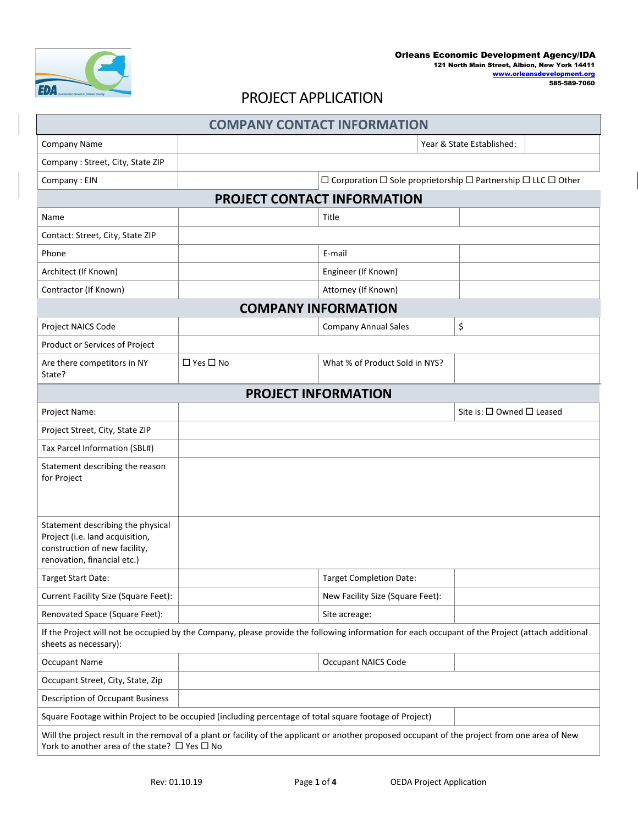

## PROJECT APPLICATION

| <b>COMPANY CONTACT INFORMATION</b>                                                                                                                                                                         |                            |                                                                                          |                           |  |  |  |  |  |
|------------------------------------------------------------------------------------------------------------------------------------------------------------------------------------------------------------|----------------------------|------------------------------------------------------------------------------------------|---------------------------|--|--|--|--|--|
| <b>Company Name</b>                                                                                                                                                                                        |                            | Year & State Established:                                                                |                           |  |  |  |  |  |
| Company: Street, City, State ZIP                                                                                                                                                                           |                            |                                                                                          |                           |  |  |  |  |  |
| Company: EIN                                                                                                                                                                                               |                            | $\Box$ Corporation $\Box$ Sole proprietorship $\Box$ Partnership $\Box$ LLC $\Box$ Other |                           |  |  |  |  |  |
|                                                                                                                                                                                                            |                            | PROJECT CONTACT INFORMATION                                                              |                           |  |  |  |  |  |
| Name                                                                                                                                                                                                       |                            | Title                                                                                    |                           |  |  |  |  |  |
| Contact: Street, City, State ZIP                                                                                                                                                                           |                            |                                                                                          |                           |  |  |  |  |  |
| Phone                                                                                                                                                                                                      |                            | E-mail                                                                                   |                           |  |  |  |  |  |
| Architect (If Known)                                                                                                                                                                                       |                            | Engineer (If Known)                                                                      |                           |  |  |  |  |  |
| Contractor (If Known)                                                                                                                                                                                      |                            | Attorney (If Known)                                                                      |                           |  |  |  |  |  |
|                                                                                                                                                                                                            | <b>COMPANY INFORMATION</b> |                                                                                          |                           |  |  |  |  |  |
| Project NAICS Code                                                                                                                                                                                         |                            | <b>Company Annual Sales</b>                                                              | \$                        |  |  |  |  |  |
| Product or Services of Project                                                                                                                                                                             |                            |                                                                                          |                           |  |  |  |  |  |
| Are there competitors in NY<br>State?                                                                                                                                                                      | $\Box$ Yes $\Box$ No       | What % of Product Sold in NYS?                                                           |                           |  |  |  |  |  |
|                                                                                                                                                                                                            |                            | <b>PROJECT INFORMATION</b>                                                               |                           |  |  |  |  |  |
| Project Name:                                                                                                                                                                                              |                            |                                                                                          | Site is: □ Owned □ Leased |  |  |  |  |  |
| Project Street, City, State ZIP                                                                                                                                                                            |                            |                                                                                          |                           |  |  |  |  |  |
| Tax Parcel Information (SBL#)                                                                                                                                                                              |                            |                                                                                          |                           |  |  |  |  |  |
| Statement describing the reason<br>for Project                                                                                                                                                             |                            |                                                                                          |                           |  |  |  |  |  |
| Statement describing the physical<br>Project (i.e. land acquisition,<br>construction of new facility,<br>renovation, financial etc.)                                                                       |                            |                                                                                          |                           |  |  |  |  |  |
| Target Start Date:                                                                                                                                                                                         |                            | <b>Target Completion Date:</b>                                                           |                           |  |  |  |  |  |
| Current Facility Size (Square Feet):                                                                                                                                                                       |                            | New Facility Size (Square Feet):                                                         |                           |  |  |  |  |  |
| Renovated Space (Square Feet):                                                                                                                                                                             |                            | Site acreage:                                                                            |                           |  |  |  |  |  |
| If the Project will not be occupied by the Company, please provide the following information for each occupant of the Project (attach additional<br>sheets as necessary):                                  |                            |                                                                                          |                           |  |  |  |  |  |
| <b>Occupant Name</b>                                                                                                                                                                                       |                            | <b>Occupant NAICS Code</b>                                                               |                           |  |  |  |  |  |
| Occupant Street, City, State, Zip                                                                                                                                                                          |                            |                                                                                          |                           |  |  |  |  |  |
| <b>Description of Occupant Business</b>                                                                                                                                                                    |                            |                                                                                          |                           |  |  |  |  |  |
| Square Footage within Project to be occupied (including percentage of total square footage of Project)                                                                                                     |                            |                                                                                          |                           |  |  |  |  |  |
| Will the project result in the removal of a plant or facility of the applicant or another proposed occupant of the project from one area of New<br>York to another area of the state? $\Box$ Yes $\Box$ No |                            |                                                                                          |                           |  |  |  |  |  |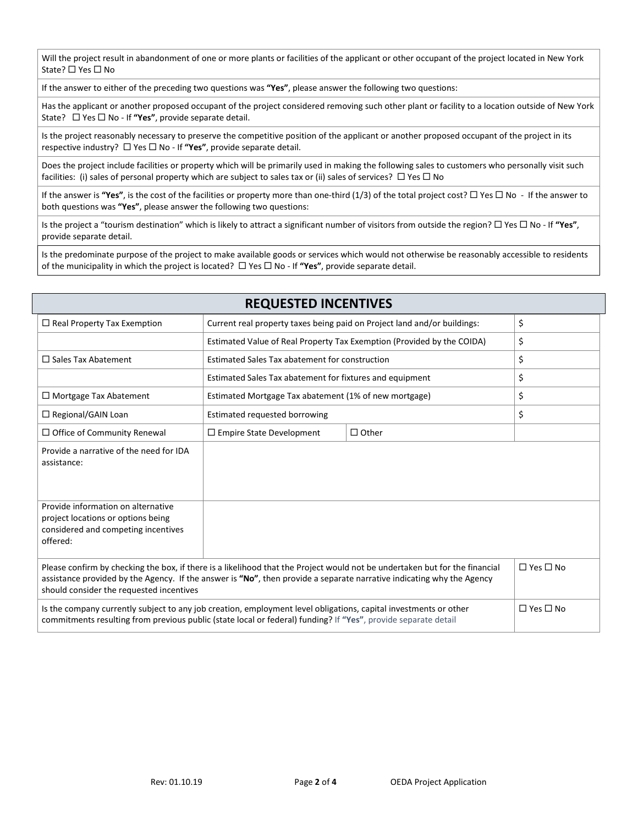Will the project result in abandonment of one or more plants or facilities of the applicant or other occupant of the project located in New York State?  $\Box$  Yes  $\Box$  No

If the answer to either of the preceding two questions was **"Yes"**, please answer the following two questions:

Has the applicant or another proposed occupant of the project considered removing such other plant or facility to a location outside of New York State?  $\Box$  Yes  $\Box$  No - If "Yes", provide separate detail.

Is the project reasonably necessary to preserve the competitive position of the applicant or another proposed occupant of the project in its respective industry?  $\Box$  Yes  $\Box$  No - If "Yes", provide separate detail.

Does the project include facilities or property which will be primarily used in making the following sales to customers who personally visit such facilities: (i) sales of personal property which are subject to sales tax or (ii) sales of services?  $\Box$  Yes  $\Box$  No

If the answer is "Yes", is the cost of the facilities or property more than one-third (1/3) of the total project cost?  $\Box$  Yes  $\Box$  No - If the answer to both questions was **"Yes"**, please answer the following two questions:

Is the project a "tourism destination" which is likely to attract a significant number of visitors from outside the region?  $\Box$  Yes  $\Box$  No - If "Yes", provide separate detail.

Is the predominate purpose of the project to make available goods or services which would not otherwise be reasonably accessible to residents of the municipality in which the project is located?  $\Box$  Yes  $\Box$  No - If "Yes", provide separate detail.

| <b>REQUESTED INCENTIVES</b>                                                                                                                                                                                                                                                                      |                                                                          |              |                      |  |  |  |
|--------------------------------------------------------------------------------------------------------------------------------------------------------------------------------------------------------------------------------------------------------------------------------------------------|--------------------------------------------------------------------------|--------------|----------------------|--|--|--|
| $\Box$ Real Property Tax Exemption                                                                                                                                                                                                                                                               | Current real property taxes being paid on Project land and/or buildings: | \$           |                      |  |  |  |
|                                                                                                                                                                                                                                                                                                  | Estimated Value of Real Property Tax Exemption (Provided by the COIDA)   |              | \$                   |  |  |  |
| $\Box$ Sales Tax Abatement                                                                                                                                                                                                                                                                       | Estimated Sales Tax abatement for construction                           |              | \$                   |  |  |  |
|                                                                                                                                                                                                                                                                                                  | Estimated Sales Tax abatement for fixtures and equipment                 |              | \$                   |  |  |  |
| $\Box$ Mortgage Tax Abatement                                                                                                                                                                                                                                                                    | Estimated Mortgage Tax abatement (1% of new mortgage)                    |              | \$                   |  |  |  |
| □ Regional/GAIN Loan                                                                                                                                                                                                                                                                             | Estimated requested borrowing                                            |              | \$                   |  |  |  |
| $\Box$ Office of Community Renewal                                                                                                                                                                                                                                                               | $\Box$ Empire State Development                                          | $\Box$ Other |                      |  |  |  |
| Provide a narrative of the need for IDA<br>assistance:                                                                                                                                                                                                                                           |                                                                          |              |                      |  |  |  |
| Provide information on alternative<br>project locations or options being<br>considered and competing incentives<br>offered:                                                                                                                                                                      |                                                                          |              |                      |  |  |  |
| Please confirm by checking the box, if there is a likelihood that the Project would not be undertaken but for the financial<br>assistance provided by the Agency. If the answer is "No", then provide a separate narrative indicating why the Agency<br>should consider the requested incentives | $\Box$ Yes $\Box$ No                                                     |              |                      |  |  |  |
| Is the company currently subject to any job creation, employment level obligations, capital investments or other<br>commitments resulting from previous public (state local or federal) funding? If "Yes", provide separate detail                                                               |                                                                          |              | $\Box$ Yes $\Box$ No |  |  |  |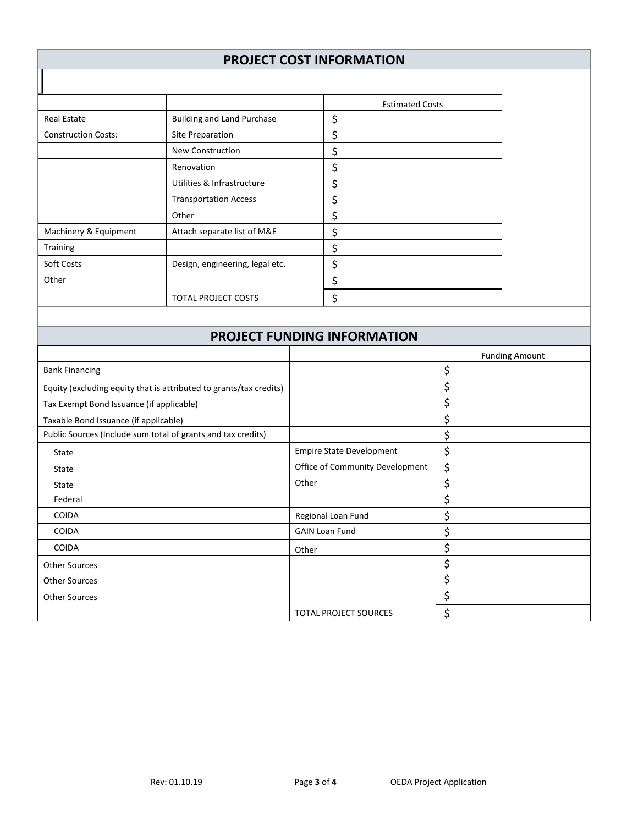## **PROJECT COST INFORMATION**

|                            |                                   | <b>Estimated Costs</b> |  |  |
|----------------------------|-----------------------------------|------------------------|--|--|
| <b>Real Estate</b>         | <b>Building and Land Purchase</b> | \$                     |  |  |
| <b>Construction Costs:</b> | Site Preparation                  | S                      |  |  |
|                            | <b>New Construction</b>           |                        |  |  |
|                            | Renovation                        |                        |  |  |
|                            | Utilities & Infrastructure        | \$                     |  |  |
|                            | <b>Transportation Access</b>      | \$                     |  |  |
|                            | Other                             |                        |  |  |
| Machinery & Equipment      | Attach separate list of M&E       | ⊃                      |  |  |
| <b>Training</b>            |                                   | Ş                      |  |  |
| Soft Costs                 | Design, engineering, legal etc.   |                        |  |  |
| Other                      |                                   |                        |  |  |
|                            | <b>TOTAL PROJECT COSTS</b>        |                        |  |  |

П

## **PROJECT FUNDING INFORMATION**

|                                                                    |                                 | <b>Funding Amount</b> |
|--------------------------------------------------------------------|---------------------------------|-----------------------|
| <b>Bank Financing</b>                                              |                                 | \$                    |
| Equity (excluding equity that is attributed to grants/tax credits) |                                 |                       |
| Tax Exempt Bond Issuance (if applicable)                           |                                 | \$                    |
| Taxable Bond Issuance (if applicable)                              |                                 | \$                    |
| Public Sources (Include sum total of grants and tax credits)       |                                 | \$                    |
| <b>State</b>                                                       | <b>Empire State Development</b> | \$                    |
| State                                                              | Office of Community Development | \$                    |
| State                                                              | Other                           | S                     |
| Federal                                                            |                                 | \$                    |
| <b>COIDA</b>                                                       | Regional Loan Fund              | \$                    |
| <b>COIDA</b>                                                       | <b>GAIN Loan Fund</b>           | \$                    |
| <b>COIDA</b>                                                       | Other                           | Ş                     |
| <b>Other Sources</b>                                               |                                 |                       |
| <b>Other Sources</b>                                               |                                 | Ş                     |
| <b>Other Sources</b>                                               |                                 | S                     |
|                                                                    | <b>TOTAL PROJECT SOURCES</b>    | \$                    |